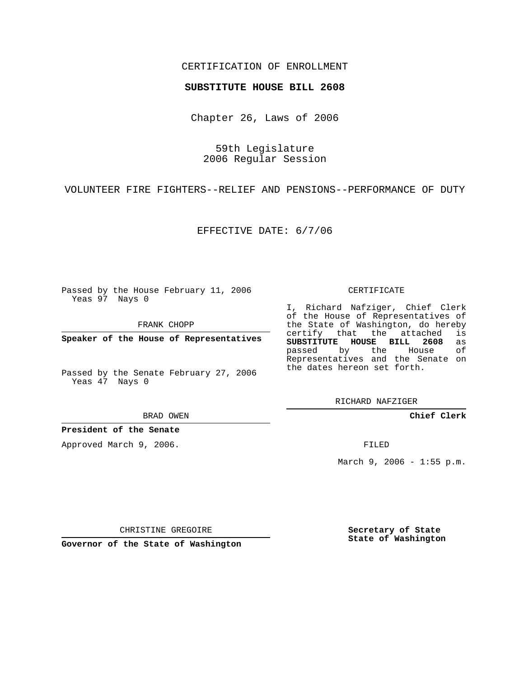## CERTIFICATION OF ENROLLMENT

## **SUBSTITUTE HOUSE BILL 2608**

Chapter 26, Laws of 2006

59th Legislature 2006 Regular Session

VOLUNTEER FIRE FIGHTERS--RELIEF AND PENSIONS--PERFORMANCE OF DUTY

EFFECTIVE DATE: 6/7/06

Passed by the House February 11, 2006 Yeas 97 Nays 0

FRANK CHOPP

**Speaker of the House of Representatives**

Passed by the Senate February 27, 2006 Yeas 47 Nays 0

BRAD OWEN

**President of the Senate**

Approved March 9, 2006.

CERTIFICATE

I, Richard Nafziger, Chief Clerk of the House of Representatives of the State of Washington, do hereby<br>certify that the attached is certify that the attached **SUBSTITUTE HOUSE BILL 2608** as passed by the House of Representatives and the Senate on the dates hereon set forth.

RICHARD NAFZIGER

**Chief Clerk**

FILED

March  $9, 2006 - 1:55 p.m.$ 

CHRISTINE GREGOIRE

**Governor of the State of Washington**

**Secretary of State State of Washington**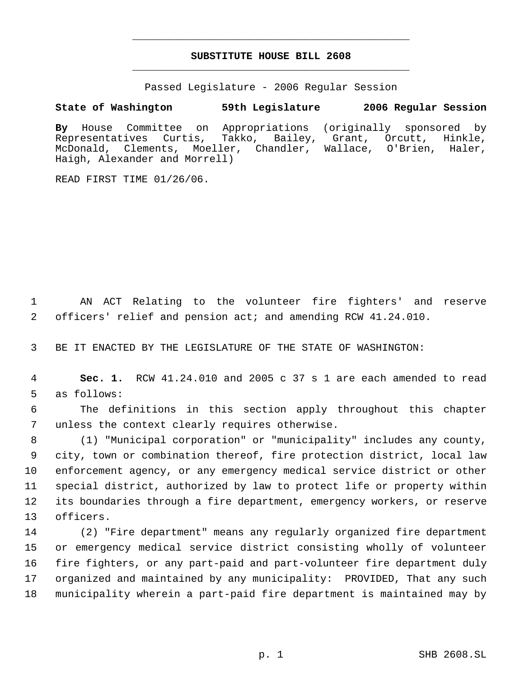## **SUBSTITUTE HOUSE BILL 2608** \_\_\_\_\_\_\_\_\_\_\_\_\_\_\_\_\_\_\_\_\_\_\_\_\_\_\_\_\_\_\_\_\_\_\_\_\_\_\_\_\_\_\_\_\_

\_\_\_\_\_\_\_\_\_\_\_\_\_\_\_\_\_\_\_\_\_\_\_\_\_\_\_\_\_\_\_\_\_\_\_\_\_\_\_\_\_\_\_\_\_

Passed Legislature - 2006 Regular Session

## **State of Washington 59th Legislature 2006 Regular Session**

**By** House Committee on Appropriations (originally sponsored by Representatives Curtis, Takko, Bailey, Grant, Orcutt, Hinkle, McDonald, Clements, Moeller, Chandler, Wallace, O'Brien, Haler, Haigh, Alexander and Morrell)

READ FIRST TIME 01/26/06.

 AN ACT Relating to the volunteer fire fighters' and reserve officers' relief and pension act; and amending RCW 41.24.010.

BE IT ENACTED BY THE LEGISLATURE OF THE STATE OF WASHINGTON:

 **Sec. 1.** RCW 41.24.010 and 2005 c 37 s 1 are each amended to read as follows:

 The definitions in this section apply throughout this chapter unless the context clearly requires otherwise.

 (1) "Municipal corporation" or "municipality" includes any county, city, town or combination thereof, fire protection district, local law enforcement agency, or any emergency medical service district or other special district, authorized by law to protect life or property within its boundaries through a fire department, emergency workers, or reserve officers.

 (2) "Fire department" means any regularly organized fire department or emergency medical service district consisting wholly of volunteer fire fighters, or any part-paid and part-volunteer fire department duly organized and maintained by any municipality: PROVIDED, That any such municipality wherein a part-paid fire department is maintained may by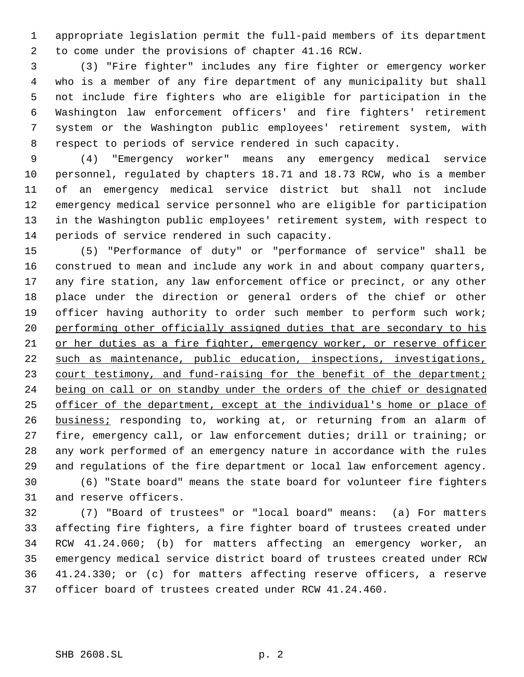appropriate legislation permit the full-paid members of its department to come under the provisions of chapter 41.16 RCW.

 (3) "Fire fighter" includes any fire fighter or emergency worker who is a member of any fire department of any municipality but shall not include fire fighters who are eligible for participation in the Washington law enforcement officers' and fire fighters' retirement system or the Washington public employees' retirement system, with respect to periods of service rendered in such capacity.

 (4) "Emergency worker" means any emergency medical service personnel, regulated by chapters 18.71 and 18.73 RCW, who is a member of an emergency medical service district but shall not include emergency medical service personnel who are eligible for participation in the Washington public employees' retirement system, with respect to periods of service rendered in such capacity.

 (5) "Performance of duty" or "performance of service" shall be construed to mean and include any work in and about company quarters, any fire station, any law enforcement office or precinct, or any other place under the direction or general orders of the chief or other 19 officer having authority to order such member to perform such work; 20 performing other officially assigned duties that are secondary to his or her duties as a fire fighter, emergency worker, or reserve officer such as maintenance, public education, inspections, investigations, 23 court testimony, and fund-raising for the benefit of the department; 24 being on call or on standby under the orders of the chief or designated officer of the department, except at the individual's home or place of **business;** responding to, working at, or returning from an alarm of fire, emergency call, or law enforcement duties; drill or training; or any work performed of an emergency nature in accordance with the rules and regulations of the fire department or local law enforcement agency.

 (6) "State board" means the state board for volunteer fire fighters and reserve officers.

 (7) "Board of trustees" or "local board" means: (a) For matters affecting fire fighters, a fire fighter board of trustees created under RCW 41.24.060; (b) for matters affecting an emergency worker, an emergency medical service district board of trustees created under RCW 41.24.330; or (c) for matters affecting reserve officers, a reserve officer board of trustees created under RCW 41.24.460.